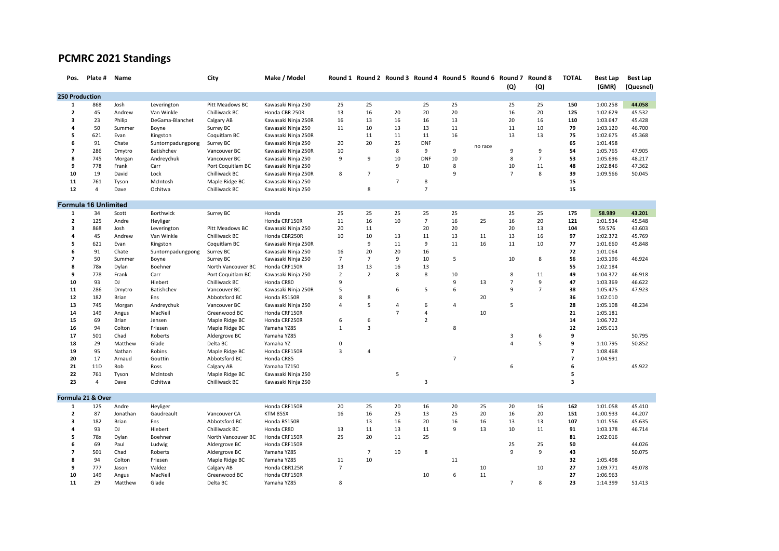## **PCMRC 2021 Standings**

| Pos.                    | Plate #                     | Name     |                   | City               | Make / Model        |                | Round 1 Round 2 Round 3 Round 4 Round 5 Round 6 Round 7 Round 8 |                |                |                |         | (Q)            | (Q)            | <b>TOTAL</b>   | <b>Best Lap</b><br>(GMR) | <b>Best Lap</b><br>(Quesnel) |
|-------------------------|-----------------------------|----------|-------------------|--------------------|---------------------|----------------|-----------------------------------------------------------------|----------------|----------------|----------------|---------|----------------|----------------|----------------|--------------------------|------------------------------|
| 250 Production          |                             |          |                   |                    |                     |                |                                                                 |                |                |                |         |                |                |                |                          |                              |
| 1                       | 868                         | Josh     | Leverington       | Pitt Meadows BC    | Kawasaki Ninja 250  | 25             | 25                                                              |                | 25             | 25             |         | 25             | 25             | 150            | 1:00.258                 | 44.058                       |
| $\overline{2}$          | 45                          | Andrew   | Van Winkle        | Chilliwack BC      | Honda CBR 250R      | 13             | 16                                                              | 20             | 20             | 20             |         | 16             | 20             | 125            | 1:02.629                 | 45.532                       |
| $\overline{\mathbf{3}}$ | 23                          | Philip   | DeGama-Blanchet   | Calgary AB         | Kawasaki Ninja 250R | 16             | 13                                                              | 16             | 16             | 13             |         | 20             | 16             | 110            | 1:03.647                 | 45.428                       |
| 4                       | 50                          | Summer   | Boyne             | Surrey BC          | Kawasaki Ninja 250  | 11             | 10                                                              | 13             | 13             | 11             |         | 11             | 10             | 79             | 1:03.120                 | 46.700                       |
| 5                       | 621                         | Evan     | Kingston          | Coquitlam BC       | Kawasaki Ninja 250R |                | 11                                                              | 11             | 11             | 16             |         | 13             | 13             | 75             | 1:02.675                 | 45.368                       |
| 6                       | 91                          | Chate    | Suntornpadungpong | Surrey BC          | Kawasaki Ninja 250  | 20             | 20                                                              | 25             | <b>DNF</b>     |                | no race |                |                | 65             | 1:01.458                 |                              |
| $\overline{7}$          | 286                         | Dmytro   | Batishchev        | Vancouver BC       | Kawasaki Ninja 250R | 10             |                                                                 | 8              | 9              | 9              |         | 9              | 9              | 54             | 1:05.765                 | 47.905                       |
| 8                       | 745                         | Morgan   | Andreychuk        | Vancouver BC       | Kawasaki Ninja 250  | 9              | 9                                                               | 10             | <b>DNF</b>     | 10             |         | 8              | $\overline{7}$ | 53             | 1:05.696                 | 48.217                       |
| 9                       | 778                         | Frank    | Carr              | Port Coquitlam BC  | Kawasaki Ninja 250  |                |                                                                 | 9              | 10             | 8              |         | 10             | 11             | 48             | 1:02.846                 | 47.362                       |
| 10                      | 19                          | David    | Lock              | Chilliwack BC      | Kawasaki Ninja 250R | 8              | $\overline{7}$                                                  |                |                | 9              |         | $\overline{7}$ | 8              | 39             | 1:09.566                 | 50.045                       |
| ${\bf 11}$              | 761                         | Tyson    | McIntosh          | Maple Ridge BC     | Kawasaki Ninja 250  |                |                                                                 | $\overline{7}$ | 8              |                |         |                |                | 15             |                          |                              |
| 12                      | $\overline{4}$              | Dave     | Ochitwa           | Chilliwack BC      | Kawasaki Ninja 250  |                | 8                                                               |                | $\overline{7}$ |                |         |                |                | 15             |                          |                              |
|                         | <b>Formula 16 Unlimited</b> |          |                   |                    |                     |                |                                                                 |                |                |                |         |                |                |                |                          |                              |
| 1                       | 34                          | Scott    | Borthwick         | Surrey BC          | Honda               | 25             | 25                                                              | 25             | 25             | 25             |         | 25             | 25             | 175            | 58.989                   | 43.201                       |
| $\overline{2}$          | 125                         | Andre    | Heyliger          |                    | Honda CRF150R       | 11             | 16                                                              | 10             | $\overline{7}$ | 16             | 25      | 16             | 20             | 121            | 1:01.534                 | 45.548                       |
| $\overline{\mathbf{3}}$ | 868                         | Josh     | Leverington       | Pitt Meadows BC    | Kawasaki Ninja 250  | 20             | 11                                                              |                | 20             | 20             |         | 20             | 13             | 104            | 59.576                   | 43.603                       |
| 4                       | 45                          | Andrew   | Van Winkle        | Chilliwack BC      | Honda CBR250R       | 10             | 10                                                              | 13             | 11             | 13             | 11      | 13             | 16             | 97             | 1:02.372                 | 45.769                       |
| 5                       | 621                         | Evan     | Kingston          | Coquitlam BC       | Kawasaki Ninja 250R |                | 9                                                               | 11             | 9              | 11             | 16      | 11             | 10             | 77             | 1:01.660                 | 45.848                       |
| 6                       | 91                          | Chate    | Suntornpadungpong | Surrey BC          | Kawasaki Ninja 250  | 16             | 20                                                              | 20             | 16             |                |         |                |                | 72             | 1:01.064                 |                              |
| $\overline{7}$          | 50                          | Summer   | Boyne             | Surrey BC          | Kawasaki Ninja 250  | $\overline{7}$ | $\overline{7}$                                                  | 9              | 10             | 5              |         | 10             | 8              | 56             | 1:03.196                 | 46.924                       |
| 8                       | 78x                         | Dylan    | Boehner           | North Vancouver BC | Honda CRF150R       | 13             | 13                                                              | 16             | 13             |                |         |                |                | 55             | 1:02.184                 |                              |
| 9                       | 778                         | Frank    | Carr              | Port Coquitlam BC  | Kawasaki Ninja 250  | $\overline{2}$ | $\overline{2}$                                                  | 8              | 8              | 10             |         | 8              | 11             | 49             | 1:04.372                 | 46.918                       |
| 10                      | 93                          | DJ       | Hiebert           | Chilliwack BC      | Honda CR80          | 9              |                                                                 |                |                | 9              | 13      | $\overline{7}$ | 9              | 47             | 1:03.369                 | 46.622                       |
| 11                      | 286                         | Dmytro   | Batishchev        | Vancouver BC       | Kawasaki Ninja 250R | 5              |                                                                 | 6              | 5              | 6              |         | $\mathsf{q}$   | $\overline{7}$ | 38             | 1:05.475                 | 47.923                       |
| ${\bf 12}$              | 182                         | Brian    | Ens               | Abbotsford BC      | Honda RS150R        | 8              | 8                                                               |                |                |                | 20      |                |                | 36             | 1:02.010                 |                              |
| 13                      | 745                         | Morgan   | Andreychuk        | Vancouver BC       | Kawasaki Ninja 250  | 4              | 5                                                               | $\overline{4}$ | 6              | $\overline{4}$ |         | 5              |                | 28             | 1:05.108                 | 48.234                       |
| ${\bf 14}$              | 149                         | Angus    | MacNeil           | Greenwood BC       | Honda CRF150R       |                |                                                                 | $\overline{7}$ | $\overline{4}$ |                | 10      |                |                | 21             | 1:05.181                 |                              |
| 15                      | 69                          | Brian    | Jensen            | Maple Ridge BC     | Honda CRF250R       | 6              | 6                                                               |                | $\overline{2}$ |                |         |                |                | 14             | 1:06.722                 |                              |
| 16                      | 94                          | Colton   | Friesen           | Maple Ridge BC     | Yamaha YZ85         | $\mathbf{1}$   | $\overline{3}$                                                  |                |                | 8              |         |                |                | 12             | 1:05.013                 |                              |
| 17                      | 501                         | Chad     | Roberts           | Aldergrove BC      | Yamaha YZ85         |                |                                                                 |                |                |                |         | 3              | 6              | 9              |                          | 50.795                       |
| 18                      | 29                          | Matthew  | Glade             | Delta BC           | Yamaha YZ           | 0              |                                                                 |                |                |                |         | $\overline{a}$ | 5              | 9              | 1:10.795                 | 50.852                       |
| 19                      | 95                          | Nathan   | Robins            | Maple Ridge BC     | Honda CRF150R       | $\overline{3}$ | $\overline{4}$                                                  |                |                |                |         |                |                | $\overline{7}$ | 1:08.468                 |                              |
| 20                      | 17                          | Arnaud   | Gouttin           | Abbotsford BC      | Honda CR85          |                |                                                                 |                |                | $\overline{7}$ |         |                |                | $\overline{7}$ | 1:04.991                 |                              |
| 21                      | 11D                         | Rob      | Ross              | Calgary AB         | Yamaha TZ150        |                |                                                                 |                |                |                |         | 6              |                | 6              |                          | 45.922                       |
| 22                      | 761                         | Tyson    | McIntosh          | Maple Ridge BC     | Kawasaki Ninja 250  |                |                                                                 | 5              |                |                |         |                |                | 5              |                          |                              |
| 23                      | $\overline{4}$              | Dave     | Ochitwa           | Chilliwack BC      | Kawasaki Ninja 250  |                |                                                                 |                | 3              |                |         |                |                | 3              |                          |                              |
|                         | Formula 21 & Over           |          |                   |                    |                     |                |                                                                 |                |                |                |         |                |                |                |                          |                              |
| $\mathbf{1}$            | 125                         | Andre    | Heyliger          |                    | Honda CRF150R       | 20             | 25                                                              | 20             | 16             | 20             | 25      | 20             | 16             | 162            | 1:01.058                 | 45.410                       |
| $\overline{2}$          | 87                          | Jonathan | Gaudreault        | Vancouver CA       | KTM 85SX            | 16             | 16                                                              | 25             | 13             | 25             | 20      | 16             | 20             | 151            | 1:00.933                 | 44.207                       |
| $\overline{\mathbf{3}}$ | 182                         | Brian    | Ens               | Abbotsford BC      | Honda RS150R        |                | 13                                                              | 16             | 20             | 16             | 16      | 13             | 13             | 107            | 1:01.556                 | 45.635                       |
| 4                       | 93                          | DJ       | Hiebert           | Chilliwack BC      | Honda CR80          | 13             | 11                                                              | 13             | 11             | 9              | 13      | 10             | 11             | 91             | 1:03.178                 | 46.714                       |
| 5                       | 78x                         | Dylan    | Boehner           | North Vancouver BC | Honda CRF150R       | 25             | 20                                                              | 11             | 25             |                |         |                |                | 81             | 1:02.016                 |                              |
| 6                       | 69                          | Paul     | Ludwig            | Aldergrove BC      | Honda CRF150R       |                |                                                                 |                |                |                |         | 25             | 25             | 50             |                          | 44.026                       |
| $\overline{7}$          | 501                         | Chad     | Roberts           | Aldergrove BC      | Yamaha YZ85         |                | $\overline{7}$                                                  | 10             | 8              |                |         | 9              | 9              | 43             |                          | 50.075                       |
| 8                       | 94                          | Colton   | Friesen           | Maple Ridge BC     | Yamaha YZ85         | 11             | 10                                                              |                |                | 11             |         |                |                | 32             | 1:05.498                 |                              |
| 9                       | 777                         | Jason    | Valdez            | Calgary AB         | Honda CBR125R       | $\overline{7}$ |                                                                 |                |                |                | 10      |                | 10             | 27             | 1:09.771                 | 49.078                       |
| 10                      | 149                         | Angus    | MacNeil           | Greenwood BC       | Honda CRF150R       |                |                                                                 |                | 10             | 6              | 11      |                |                | 27             | 1:06.963                 |                              |
| 11                      | 29                          | Matthew  | Glade             | Delta BC           | Yamaha YZ85         | 8              |                                                                 |                |                |                |         | $\overline{7}$ | 8              | 23             | 1:14.399                 | 51.413                       |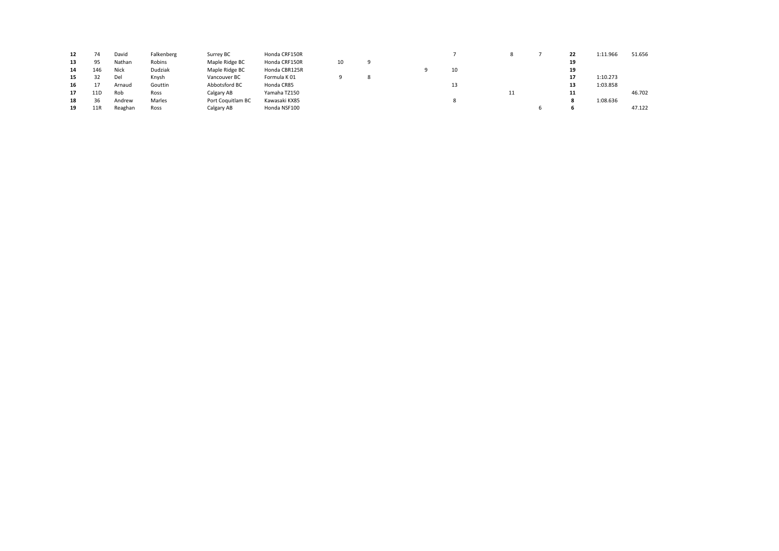| 12 |                 | David   | Falkenberg | Surrey BC         | Honda CRF150R |    |  |    |   | 22 | 1:11.966 | 51.656 |
|----|-----------------|---------|------------|-------------------|---------------|----|--|----|---|----|----------|--------|
| 13 | 95              | Nathan  | Robins     | Maple Ridge BC    | Honda CRF150R | 10 |  |    |   | 19 |          |        |
| 14 | 146             | Nick    | Dudziak    | Maple Ridge BC    | Honda CBR125R |    |  | 10 |   | 19 |          |        |
| 15 | 32              | Del     | Knysh      | Vancouver BC      | Formula K 01  |    |  |    |   | 17 | 1:10.273 |        |
| 16 |                 | Arnaud  | Gouttin    | Abbotsford BC     | Honda CR85    |    |  | 13 |   | 13 | 1:03.858 |        |
| 17 | 11D             | Rob     | Ross       | Calgary AB        | Yamaha TZ150  |    |  |    | ᆠ | 11 |          | 46.702 |
| 18 | 36              | Andrew  | Marles     | Port Coquitlam BC | Kawasaki KX85 |    |  |    |   |    | 1:08.636 |        |
| 19 | 11 <sub>R</sub> | Reaghan | Ross       | Calgary AB        | Honda NSF100  |    |  |    |   |    |          | 47.122 |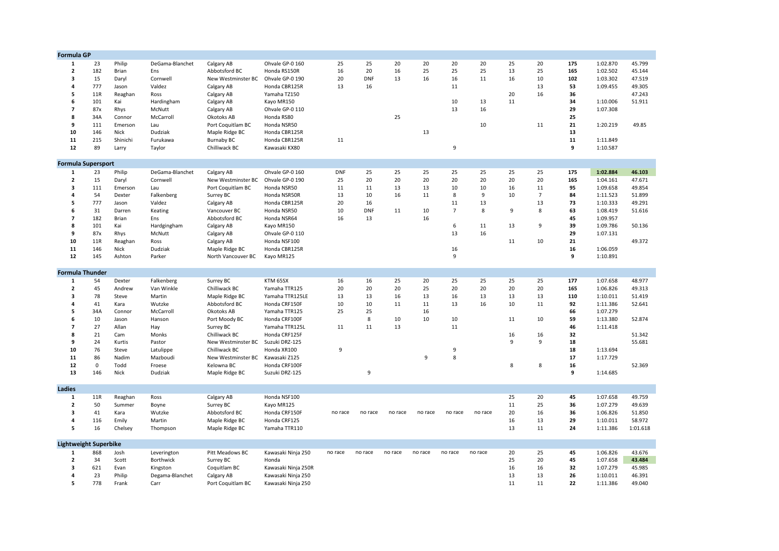| <b>Formula GP</b>            |             |             |                  |                                   |                     |            |            |         |         |                |         |    |                |     |          |          |
|------------------------------|-------------|-------------|------------------|-----------------------------------|---------------------|------------|------------|---------|---------|----------------|---------|----|----------------|-----|----------|----------|
| $\mathbf{1}$                 | 23          | Philip      | DeGama-Blanchet  | Calgary AB                        | Ohvale GP-0 160     | 25         | 25         | 20      | 20      | 20             | 20      | 25 | 20             | 175 | 1:02.870 | 45.799   |
| $\overline{2}$               | 182         | Brian       | Ens              | Abbotsford BC                     | Honda RS150R        | 16         | 20         | 16      | 25      | 25             | 25      | 13 | 25             | 165 | 1:02.502 | 45.144   |
| 3                            | 15          | Daryl       | Cornwell         | New Westminster BC                | Ohvale GP-0 190     | 20         | <b>DNF</b> | 13      | 16      | 16             | 11      | 16 | 10             | 102 | 1:03.302 | 47.519   |
| 4                            | 777         | Jason       | Valdez           | Calgary AB                        | Honda CBR125R       | 13         | 16         |         |         | 11             |         |    | 13             | 53  | 1:09.455 | 49.305   |
| 5                            | 11R         | Reaghan     | Ross             | Calgary AB                        | Yamaha TZ150        |            |            |         |         |                |         | 20 | 16             | 36  |          | 47.243   |
| 6                            | 101         | Kai         | Hardingham       | Calgary AB                        | Kayo MR150          |            |            |         |         | 10             | 13      | 11 |                | 34  | 1:10.006 | 51.911   |
| $\overline{7}$               | 87x         | Rhys        | McNutt           | Calgary AB                        | Ohvale GP-0 110     |            |            |         |         | 13             | 16      |    |                | 29  | 1:07.308 |          |
| 8                            | 34A         | Connor      | McCarroll        | Okotoks AB                        | Honda RS80          |            |            | 25      |         |                |         |    |                | 25  |          |          |
| 9                            | 111         | Emerson     |                  | Port Coquitlam BC                 | Honda NSR50         |            |            |         |         |                | 10      |    | 11             | 21  | 1:20.219 | 49.85    |
|                              |             |             | Lau              |                                   |                     |            |            |         |         |                |         |    |                |     |          |          |
| 10                           | 146         | Nick        | Dudziak          | Maple Ridge BC                    | Honda CBR125R       |            |            |         | 13      |                |         |    |                | 13  |          |          |
| 11                           | 215         | Shinichi    | Furukawa         | <b>Burnaby BC</b>                 | Honda CBR125R       | 11         |            |         |         |                |         |    |                | 11  | 1:11.849 |          |
| $12\,$                       | 89          | Larry       | Taylor           | Chilliwack BC                     | Kawasaki KX80       |            |            |         |         | 9              |         |    |                | 9   | 1:10.587 |          |
| <b>Formula Supersport</b>    |             |             |                  |                                   |                     |            |            |         |         |                |         |    |                |     |          |          |
| 1                            | 23          | Philip      | DeGama-Blanchet  | Calgary AB                        | Ohvale GP-0 160     | <b>DNF</b> | 25         | 25      | 25      | 25             | 25      | 25 | 25             | 175 | 1:02.884 | 46.103   |
| $\mathbf{2}$                 | 15          | Daryl       | Cornwell         | New Westminster BC                | Ohvale GP-0 190     | 25         | 20         | 20      | 20      | 20             | 20      | 20 | 20             | 165 | 1:04.161 | 47.671   |
| $\overline{\mathbf{3}}$      | 111         | Emerson     |                  | Port Coquitlam BC                 | Honda NSR50         | 11         | 11         | 13      | 13      | 10             | 10      | 16 | 11             | 95  | 1:09.658 | 49.854   |
| 4                            |             |             | Lau              |                                   |                     | 13         |            |         |         | 8              |         |    | $\overline{7}$ | 84  |          | 51.899   |
|                              | 54          | Dexter      | Falkenberg       | Surrey BC                         | Honda NSR50R        |            | 10         | 16      | 11      |                | 9       | 10 |                |     | 1:11.523 |          |
| 5                            | 777         | Jason       | Valdez           | Calgary AB                        | Honda CBR125R       | 20         | 16         |         |         | 11             | 13      |    | 13             | 73  | 1:10.333 | 49.291   |
| 6                            | 31          | Darren      | Keating          | Vancouver BC                      | Honda NSR50         | 10         | <b>DNF</b> | 11      | 10      | $\overline{7}$ | 8       | 9  | 8              | 63  | 1:08.419 | 51.616   |
| $\overline{7}$               | 182         | Brian       | Ens              | Abbotsford BC                     | Honda NSR64         | 16         | 13         |         | 16      |                |         |    |                | 45  | 1:09.957 |          |
| 8                            | 101         | Kai         | Hardgingham      | Calgary AB                        | Kayo MR150          |            |            |         |         | 6              | 11      | 13 | 9              | 39  | 1:09.786 | 50.136   |
| 9                            | 87x         | Rhys        | McNutt           | Calgary AB                        | Ohvale GP-0 110     |            |            |         |         | 13             | 16      |    |                | 29  | 1:07.131 |          |
| 10                           | 11R         | Reaghan     | Ross             | Calgary AB                        | Honda NSF100        |            |            |         |         |                |         | 11 | 10             | 21  |          | 49.372   |
| 11                           | 146         | Nick        | Dudziak          | Maple Ridge BC                    | Honda CBR125R       |            |            |         |         | 16             |         |    |                | 16  | 1:06.059 |          |
| 12                           | 145         | Ashton      | Parker           | North Vancouver BC                | Kayo MR125          |            |            |         |         | 9              |         |    |                | 9   | 1:10.891 |          |
| <b>Formula Thunder</b>       |             |             |                  |                                   |                     |            |            |         |         |                |         |    |                |     |          |          |
|                              |             |             |                  |                                   |                     |            |            |         |         |                |         |    |                |     |          |          |
| 1                            | 54          | Dexter      | Falkenberg       | Surrey BC                         | KTM 65SX            | 16         | 16         | 25      | 20      | 25             | 25      | 25 | 25             | 177 | 1:07.658 | 48.977   |
| $\mathbf{2}$                 | 45          | Andrew      | Van Winkle       | Chilliwack BC                     | Yamaha TTR125       | 20         | 20         | 20      | 25      | 20             | 20      | 20 | 20             | 165 | 1:06.826 | 49.313   |
| 3                            | 78          | Steve       | Martin           | Maple Ridge BC                    | Yamaha TTR125LE     | 13         | 13         | 16      | 13      | 16             | 13      | 13 | 13             | 110 | 1:10.011 | 51.419   |
| 4                            | 41          | Kara        | Wutzke           | Abbotsford BC                     | Honda CRF150F       | 10         | 10         | 11      | $11\,$  | 13             | 16      | 10 | 11             | 92  | 1:11.386 | 52.641   |
| 5                            | 34A         | Connor      | McCarroll        | Okotoks AB                        | Yamaha TTR125       | 25         | 25         |         | 16      |                |         |    |                | 66  | 1:07.279 |          |
| 6                            | 10          | Jason       | Hanson           | Port Moody BC                     | Honda CRF100F       |            | 8          | 10      | 10      | 10             |         | 11 | 10             | 59  | 1:13.380 | 52.874   |
| $\overline{7}$               | 27          | Allan       | Hay              | Surrey BC                         | Yamaha TTR125L      | 11         | 11         | 13      |         | 11             |         |    |                | 46  | 1:11.418 |          |
| 8                            | 21          | Cam         | Monks            | Chilliwack BC                     | Honda CRF125F       |            |            |         |         |                |         | 16 | 16             | 32  |          | 51.342   |
| 9                            | 24          | Kurtis      | Pastor           | New Westminster BC Suzuki DRZ-125 |                     |            |            |         |         |                |         | 9  | 9              | 18  |          | 55.681   |
| 10                           | 76          | Steve       | Latulippe        | Chilliwack BC                     | Honda XR100         | 9          |            |         |         | 9              |         |    |                | 18  | 1:13.694 |          |
| 11                           | 86          | Nadim       | Mazboudi         | New Westminster BC                | Kawasaki Z125       |            |            |         | 9       | 8              |         |    |                | 17  | 1:17.729 |          |
| 12                           | $\mathbf 0$ | Todd        | Froese           | Kelowna BC                        | Honda CRF100F       |            |            |         |         |                |         | 8  | 8              | 16  |          | 52.369   |
| 13                           | 146         | <b>Nick</b> | Dudziak          | Maple Ridge BC                    | Suzuki DRZ-125      |            | 9          |         |         |                |         |    |                | 9   | 1:14.685 |          |
|                              |             |             |                  |                                   |                     |            |            |         |         |                |         |    |                |     |          |          |
| Ladies                       |             |             |                  |                                   |                     |            |            |         |         |                |         |    |                |     |          |          |
| $\mathbf{1}$                 | 11R         | Reaghan     | Ross             | Calgary AB                        | Honda NSF100        |            |            |         |         |                |         | 25 | 20             | 45  | 1:07.658 | 49.759   |
| $\overline{\mathbf{2}}$      | 50          | Summer      | Boyne            | Surrey BC                         | Kayo MR125          |            |            |         |         |                |         | 11 | 25             | 36  | 1:07.279 | 49.639   |
| $\overline{\mathbf{3}}$      | 41          | Kara        | Wutzke           | Abbotsford BC                     | Honda CRF150F       | no race    | no race    | no race | no race | no race        | no race | 20 | 16             | 36  | 1:06.826 | 51.850   |
| 4                            | 116         | Emily       | Martin           | Maple Ridge BC                    | Honda CRF125        |            |            |         |         |                |         | 16 | 13             | 29  | 1:10.011 | 58.972   |
| 5                            | 16          | Chelsey     | Thompson         | Maple Ridge BC                    | Yamaha TTR110       |            |            |         |         |                |         | 13 | 11             | 24  | 1:11.386 | 1:01.618 |
| <b>Lightweight Superbike</b> |             |             |                  |                                   |                     |            |            |         |         |                |         |    |                |     |          |          |
| 1                            | 868         | Josh        | Leverington      | Pitt Meadows BC                   | Kawasaki Ninja 250  | no race    | no race    | no race | no race | no race        | no race | 20 | 25             | 45  | 1:06.826 | 43.676   |
| $\overline{2}$               | 34          | Scott       | <b>Borthwick</b> | Surrey BC                         | Honda               |            |            |         |         |                |         | 25 | 20             | 45  | 1:07.658 | 43.484   |
| 3                            | 621         | Evan        | Kingston         | Coquitlam BC                      | Kawasaki Ninja 250R |            |            |         |         |                |         | 16 | 16             | 32  | 1:07.279 | 45.985   |
| 4                            | 23          | Philip      | Degama-Blanchet  | Calgary AB                        | Kawasaki Ninja 250  |            |            |         |         |                |         | 13 | 13             | 26  | 1:10.011 | 46.391   |
| 5                            | 778         | Frank       | Carr             | Port Coquitlam BC                 | Kawasaki Ninja 250  |            |            |         |         |                |         | 11 | 11             | 22  | 1:11.386 | 49.040   |
|                              |             |             |                  |                                   |                     |            |            |         |         |                |         |    |                |     |          |          |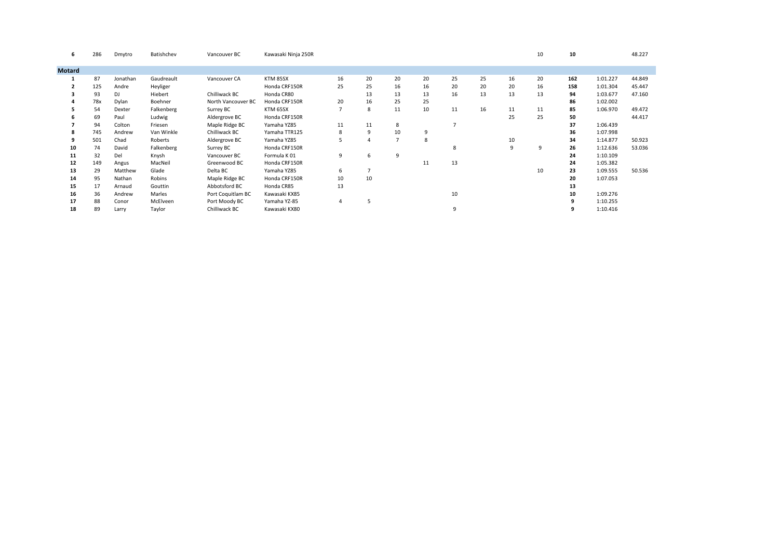| 6             | 286 | Dmytro   | Batishchev | Vancouver BC       | Kawasaki Ninja 250R |    |    |                |    |    |    |    | 10 | 10  |          | 48.227 |
|---------------|-----|----------|------------|--------------------|---------------------|----|----|----------------|----|----|----|----|----|-----|----------|--------|
| <b>Motard</b> |     |          |            |                    |                     |    |    |                |    |    |    |    |    |     |          |        |
|               |     |          |            |                    |                     |    |    |                |    |    |    |    |    |     |          |        |
|               | 87  | Jonathan | Gaudreault | Vancouver CA       | KTM 85SX            | 16 | 20 | 20             | 20 | 25 | 25 | 16 | 20 | 162 | 1:01.227 | 44.849 |
|               | 125 | Andre    | Heyliger   |                    | Honda CRF150R       | 25 | 25 | 16             | 16 | 20 | 20 | 20 | 16 | 158 | 1:01.304 | 45.447 |
|               | 93  | DJ       | Hiebert    | Chilliwack BC      | Honda CR80          |    | 13 | 13             | 13 | 16 | 13 | 13 | 13 | 94  | 1:03.677 | 47.160 |
|               | 78x | Dylan    | Boehner    | North Vancouver BC | Honda CRF150R       | 20 | 16 | 25             | 25 |    |    |    |    | 86  | 1:02.002 |        |
|               | 54  | Dexter   | Falkenberg | Surrey BC          | KTM 65SX            |    | 8  | 11             | 10 | 11 | 16 | 11 | 11 | 85  | 1:06.970 | 49.472 |
|               | 69  | Paul     | Ludwig     | Aldergrove BC      | Honda CRF150R       |    |    |                |    |    |    | 25 | 25 | 50  |          | 44.417 |
|               | 94  | Colton   | Friesen    | Maple Ridge BC     | Yamaha YZ85         | 11 | 11 | 8              |    |    |    |    |    | 37  | 1:06.439 |        |
|               | 745 | Andrew   | Van Winkle | Chilliwack BC      | Yamaha TTR125       | 8  | 9  | 10             | 9  |    |    |    |    | 36  | 1:07.998 |        |
|               | 501 | Chad     | Roberts    | Aldergrove BC      | Yamaha YZ85         | 5  |    | $\overline{7}$ | 8  |    |    | 10 |    | 34  | 1:14.877 | 50.923 |
| 10            | 74  | David    | Falkenberg | Surrey BC          | Honda CRF150R       |    |    |                |    | 8  |    | 9  | 9  | 26  | 1:12.636 | 53.036 |
| 11            | 32  | Del      | Knysh      | Vancouver BC       | Formula K 01        | 9  | 6  | 9              |    |    |    |    |    | 24  | 1:10.109 |        |
| 12            | 149 | Angus    | MacNeil    | Greenwood BC       | Honda CRF150R       |    |    |                | 11 | 13 |    |    |    | 24  | 1:05.382 |        |
| 13            | 29  | Matthew  | Glade      | Delta BC           | Yamaha YZ85         | 6  |    |                |    |    |    |    | 10 | 23  | 1:09.555 | 50.536 |
| 14            | 95  | Nathan   | Robins     | Maple Ridge BC     | Honda CRF150R       | 10 | 10 |                |    |    |    |    |    | 20  | 1:07.053 |        |
| 15            | 17  | Arnaud   | Gouttin    | Abbotsford BC      | Honda CR85          | 13 |    |                |    |    |    |    |    | 13  |          |        |
| 16            | 36  | Andrew   | Marles     | Port Coquitlam BC  | Kawasaki KX85       |    |    |                |    | 10 |    |    |    | 10  | 1:09.276 |        |
| 17            | 88  | Conor    | McElveen   | Port Moody BC      | Yamaha YZ-85        | 4  | 5  |                |    |    |    |    |    | 9   | 1:10.255 |        |
| 18            | 89  | Larry    | Taylor     | Chilliwack BC      | Kawasaki KX80       |    |    |                |    | 9  |    |    |    |     | 1:10.416 |        |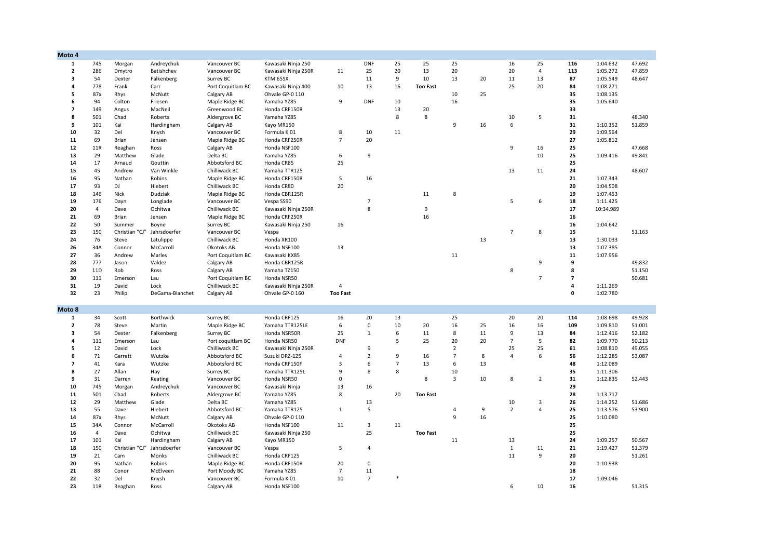| Moto 4                  |                |                |                            |                               |                             |                      |                      |                |                 |                |    |                |                |                          |           |        |
|-------------------------|----------------|----------------|----------------------------|-------------------------------|-----------------------------|----------------------|----------------------|----------------|-----------------|----------------|----|----------------|----------------|--------------------------|-----------|--------|
| $\mathbf{1}$            | 745            | Morgan         | Andreychuk                 | Vancouver BC                  | Kawasaki Ninja 250          |                      | <b>DNF</b>           | 25             | 25              | 25             |    | 16             | 25             | 116                      | 1:04.632  | 47.692 |
| $\overline{2}$          | 286            | Dmytro         | Batishchev                 | Vancouver BC                  | Kawasaki Ninja 250R         | 11                   | 25                   | 20             | 13              | 20             |    | 20             | $\overline{4}$ | 113                      | 1:05.272  | 47.859 |
| 3                       | 54             | Dexter         | Falkenberg                 | Surrey BC                     | KTM 65SX                    |                      | 11                   | 9              | 10              | 13             | 20 | 11             | 13             | 87                       | 1:05.549  | 48.647 |
| $\overline{a}$          | 778            | Frank          | Carr                       | Port Coquitlam BC             | Kawasaki Ninja 400          | 10                   | 13                   | 16             | <b>Too Fast</b> |                |    | 25             | 20             | 84                       | 1:08.271  |        |
| 5                       | 87x            | Rhys           | McNutt                     | Calgary AB                    | Ohvale GP-0 110             |                      |                      |                |                 | 10             | 25 |                |                | 35                       | 1:08.135  |        |
| 6                       | 94             | Colton         | Friesen                    | Maple Ridge BC                | Yamaha YZ85                 | 9                    | <b>DNF</b>           | 10             |                 | 16             |    |                |                | 35                       | 1:05.640  |        |
| $\overline{\mathbf{z}}$ | 149            | Angus          | MacNeil                    | Greenwood BC                  | Honda CRF150R               |                      |                      | 13             | 20              |                |    |                |                | 33                       |           |        |
| 8                       | 501            | Chad           | Roberts                    | Aldergrove BC                 | Yamaha YZ85                 |                      |                      | 8              | 8               |                |    | 10             | 5              | 31                       |           | 48.340 |
| 9                       | 101            | Kai            | Hardingham                 | Calgary AB                    | Kayo MR150                  |                      |                      |                |                 | 9              | 16 | 6              |                | 31                       | 1:10.352  | 51.859 |
| 10                      | 32             | Del            | Knysh                      | Vancouver BC                  | Formula K01                 | 8                    | 10                   | 11             |                 |                |    |                |                | 29                       | 1:09.564  |        |
| 11                      | 69             | Brian          | Jensen                     | Maple Ridge BC                | Honda CRF250R               | $\overline{7}$       | 20                   |                |                 |                |    |                |                | 27                       | 1:05.812  |        |
| ${\bf 12}$              | 11R            | Reaghan        | Ross                       | Calgary AB                    | Honda NSF100                |                      |                      |                |                 |                |    | 9              | 16             | 25                       |           | 47.668 |
| 13                      | 29             | Matthew        | Glade                      | Delta BC                      | Yamaha YZ85                 | 6                    | 9                    |                |                 |                |    |                | 10             | 25                       | 1:09.416  | 49.841 |
| 14                      | 17             | Arnaud         | Gouttin                    | Abbotsford BC                 | Honda CR85                  | 25                   |                      |                |                 |                |    |                |                | 25                       |           |        |
| 15                      | 45             | Andrew         | Van Winkle                 | Chilliwack BC                 | Yamaha TTR125               |                      |                      |                |                 |                |    | 13             | 11             | 24                       |           | 48.607 |
| 16                      | 95             | Nathan         | Robins                     | Maple Ridge BC                | Honda CRF150R               | 5                    | 16                   |                |                 |                |    |                |                | 21                       | 1:07.343  |        |
| 17                      | 93             | DJ             | Hiebert                    | Chilliwack BC                 | Honda CR80                  | 20                   |                      |                |                 |                |    |                |                | 20                       | 1:04.508  |        |
| 18                      | 146            | Nick           | Dudziak                    | Maple Ridge BC                | Honda CBR125R               |                      |                      |                | 11              | 8              |    |                |                | 19                       | 1:07.453  |        |
| 19                      | 176            | Dayn           | Longlade                   | Vancouver BC                  | Vespa SS90                  |                      | $\overline{7}$       |                |                 |                |    | 5              | 6              | 18                       | 1:11.425  |        |
| 20                      | 4              | Dave           | Ochitwa                    | Chilliwack BC                 | Kawasaki Ninja 250R         |                      | 8                    |                | 9               |                |    |                |                | 17                       | 10:34.989 |        |
| 21                      | 69             | Brian          | Jensen                     | Maple Ridge BC                | Honda CRF250R               |                      |                      |                | 16              |                |    |                |                | 16                       |           |        |
| 22                      | 50             | Summer         | Boyne                      | Surrey BC                     | Kawasaki Ninja 250          | 16                   |                      |                |                 |                |    |                |                | 16                       | 1:04.642  |        |
| 23                      | 150            | Christian "CJ" | Jahrsdoerfer               | Vancouver BC                  | Vespa                       |                      |                      |                |                 |                |    | $\overline{7}$ | 8              | 15                       |           | 51.163 |
| 24                      | 76             | Steve          | Latulippe                  | Chilliwack BC                 | Honda XR100                 |                      |                      |                |                 |                | 13 |                |                | 13                       | 1:30.033  |        |
| 26                      | 34A            | Connor         | McCarroll                  | Okotoks AB                    | Honda NSF100                | 13                   |                      |                |                 |                |    |                |                | 13                       | 1:07.385  |        |
| 27                      | 36             | Andrew         | Marles                     | Port Coquitlam BC             | Kawasaki KX85               |                      |                      |                |                 | 11             |    |                |                | 11                       | 1:07.956  |        |
| 28                      | 777            | Jason          | Valdez                     | Calgary AB                    | Honda CBR125R               |                      |                      |                |                 |                |    |                | 9              | 9                        |           | 49.832 |
| 29                      | 11D            | Rob            | Ross                       | Calgary AB                    | Yamaha TZ150                |                      |                      |                |                 |                |    | 8              |                | 8                        |           | 51.150 |
| 30                      | 111            | Emerson        | Lau                        | Port Coquitlam BC             | Honda NSR50                 |                      |                      |                |                 |                |    |                | $\overline{7}$ | $\overline{\phantom{a}}$ |           | 50.681 |
| 31                      | 19             | David          | Lock                       | Chilliwack BC                 | Kawasaki Ninja 250R         | 4                    |                      |                |                 |                |    |                |                | 4                        | 1:11.269  |        |
| 32                      | 23             | Philip         | DeGama-Blanchet            |                               | Ohvale GP-0 160             | <b>Too Fast</b>      |                      |                |                 |                |    |                |                | 0                        | 1:02.780  |        |
|                         |                |                |                            | Calgary AB                    |                             |                      |                      |                |                 |                |    |                |                |                          |           |        |
| Moto 8                  |                |                |                            |                               |                             |                      |                      |                |                 |                |    |                |                |                          |           |        |
| 1                       | 34             | Scott          | <b>Borthwick</b>           | Surrey BC                     | Honda CRF125                | 16                   | 20                   | 13             |                 | 25             |    | 20             | 20             | 114                      | 1:08.698  | 49.928 |
| $\mathbf{2}$            | 78             | Steve          | Martin                     | Maple Ridge BC                | Yamaha TTR125LE             | 6                    | $\mathbf 0$          | 10             | 20              | 16             | 25 | 16             | 16             | 109                      | 1:09.810  | 51.001 |
| 3                       | 54             | Dexter         | Falkenberg                 | Surrey BC                     | Honda NSR50R                | 25                   | $\mathbf{1}$         | 6              | 11              | 8              | 11 | 9              | 13             | 84                       | 1:12.416  | 52.182 |
| 4                       | 111            | Emerson        | Lau                        | Port coquitlam BC             | Honda NSR50                 | <b>DNF</b>           |                      | 5              | 25              | 20             | 20 | $\overline{7}$ | 5              | 82                       | 1:09.770  | 50.213 |
| 5                       | 12             | David          | Lock                       | Chilliwack BC                 | Kawasaki Ninja 250R         |                      | 9                    |                |                 | $\overline{2}$ |    | 25             | 25             | 61                       | 1:08.810  | 49.055 |
| 6                       | 71             | Garrett        | Wutzke                     | Abbotsford BC                 | Suzuki DRZ-125              | 4                    | $\overline{2}$       | 9              | 16              | $\overline{7}$ | 8  | $\overline{4}$ | 6              | 56                       | 1:12.285  | 53.087 |
| 7                       | 41             | Kara           | Wutzke                     | Abbotsford BC                 | Honda CRF150F               | 3                    | 6                    | $\overline{7}$ | 13              | 6              | 13 |                |                | 48                       | 1:12.089  |        |
| 8                       | 27             | Allan          | Hay                        | Surrey BC                     | Yamaha TTR125L              | 9                    | 8                    | 8              |                 | 10             |    |                |                | 35                       | 1:11.306  |        |
| 9                       | 31             | Darren         | Keating                    | Vancouver BC                  | Honda NSR50                 | 0                    |                      |                | 8               | $\overline{3}$ | 10 | 8              | $\overline{2}$ | 31                       | 1:12.835  | 52.443 |
| 10                      | 745            | Morgan         | Andreychuk                 | Vancouver BC                  | Kawasaki Ninja              | 13                   | 16                   |                |                 |                |    |                |                | 29                       |           |        |
| ${\bf 11}$              | 501            | Chad           | Roberts                    | Aldergrove BC                 | Yamaha YZ85                 | 8                    |                      | 20             | <b>Too Fast</b> |                |    |                |                | 28                       | 1:13.717  |        |
| 12                      | 29             | Matthew        | Glade                      | Delta BC                      | Yamaha YZ85                 |                      | 13                   |                |                 |                |    | 10             | $\overline{3}$ | 26                       | 1:14.252  | 51.686 |
| 13                      | 55             | Dave           | Hiebert                    | Abbotsford BC                 | Yamaha TTR125               | $\mathbf{1}$         | 5                    |                |                 | $\overline{4}$ | 9  | $\overline{2}$ | $\overline{a}$ | 25                       | 1:13.576  | 53.900 |
| 14                      | 87x            | Rhys           | McNutt                     | Calgary AB                    | Ohvale GP-0 110             |                      |                      |                |                 | 9              | 16 |                |                | 25                       | 1:10.080  |        |
| 15                      | 34A            | Connor         | McCarroll                  | Okotoks AB                    | Honda NSF100                | 11                   | 3                    | 11             |                 |                |    |                |                | 25                       |           |        |
| 16                      | $\overline{4}$ | Dave           | Ochitwa                    | Chilliwack BC                 | Kawasaki Ninja 250          |                      | 25                   |                | <b>Too Fast</b> |                |    |                |                | 25                       |           |        |
| 17                      | 101            | Kai            |                            |                               |                             |                      |                      |                |                 | 11             |    | 13             |                | 24                       | 1:09.257  | 50.567 |
| 18                      | 150            | Christian "CJ" | Hardingham<br>Jahrsdoerfer | Calgary AB                    | Kayo MR150                  | 5                    | $\overline{4}$       |                |                 |                |    | $\mathbf{1}$   | 11             | 21                       | 1:19.427  | 51.379 |
|                         |                |                |                            | Vancouver BC                  | Vespa                       |                      |                      |                |                 |                |    | 11             | 9              |                          |           |        |
| 19<br>20                | 21<br>95       | Cam            | Monks<br>Robins            | Chilliwack BC                 | Honda CRF125                |                      | $\mathsf 0$          |                |                 |                |    |                |                | 20<br>20                 |           | 51.261 |
| 21                      | 88             | Nathan         |                            | Maple Ridge BC                | Honda CRF150R               | 20                   |                      |                |                 |                |    |                |                |                          | 1:10.938  |        |
| 22                      | 32             | Conor<br>Del   | McElveen                   | Port Moody BC<br>Vancouver BC | Yamaha YZ85<br>Formula K 01 | $\overline{7}$<br>10 | 11<br>$\overline{7}$ |                |                 |                |    |                |                | 18<br>17                 | 1:09.046  |        |
| 23                      | 11R            | Reaghan        | Knysh                      | Calgary AB                    | Honda NSF100                |                      |                      |                |                 |                |    | 6              | 10             | 16                       |           | 51.315 |
|                         |                |                | Ross                       |                               |                             |                      |                      |                |                 |                |    |                |                |                          |           |        |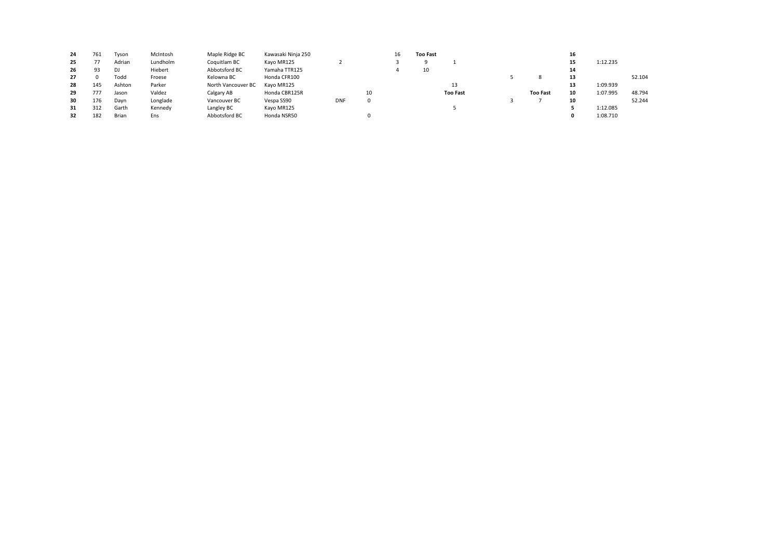| 24 | 761 | Tyson        | McIntosh | Maple Ridge BC     | Kawasaki Ninja 250 |            |    | 16 | <b>Too Fast</b> |                 |                 | 16 |          |        |
|----|-----|--------------|----------|--------------------|--------------------|------------|----|----|-----------------|-----------------|-----------------|----|----------|--------|
| 25 |     | Adrian       | Lundholm | Coquitlam BC       | Kayo MR125         |            |    |    | Ω               |                 |                 | 15 | 1:12.235 |        |
| 26 | 93  | DJ           | Hiebert  | Abbotsford BC      | Yamaha TTR125      |            |    |    | 10              |                 |                 | 14 |          |        |
| 27 |     | Todd         | Froese   | Kelowna BC         | Honda CFR100       |            |    |    |                 |                 |                 | 13 |          | 52.104 |
| 28 | 145 | Ashton       | Parker   | North Vancouver BC | Kayo MR125         |            |    |    |                 | 13              |                 | 13 | 1:09.939 |        |
| 29 | 777 | Jason        | Valdez   | Calgary AB         | Honda CBR125R      |            | 10 |    |                 | <b>Too Fast</b> | <b>Too Fast</b> | 10 | 1:07.995 | 48.794 |
| 30 | 176 | Dayn         | Longlade | Vancouver BC       | Vespa SS90         | <b>DNF</b> | 0  |    |                 |                 |                 | 10 |          | 52.244 |
| 31 | 312 | Garth        | Kennedy  | Langley BC         | Kayo MR125         |            |    |    |                 |                 |                 |    | 1:12.085 |        |
| 32 | 182 | <b>Brian</b> | Ens      | Abbotsford BC      | Honda NSR50        |            |    |    |                 |                 |                 |    | 1:08.710 |        |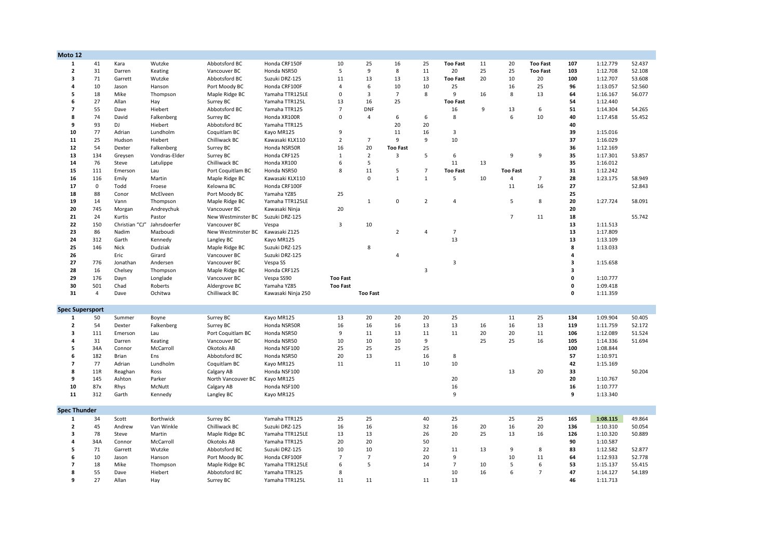| Moto 12                  |                |                   |                |                            |                                 |                 |                 |                 |                |                 |    |                 |                 |             |                      |        |
|--------------------------|----------------|-------------------|----------------|----------------------------|---------------------------------|-----------------|-----------------|-----------------|----------------|-----------------|----|-----------------|-----------------|-------------|----------------------|--------|
| $\mathbf{1}$             | 41             | Kara              | Wutzke         | Abbotsford BC              | Honda CRF150F                   | 10              | 25              | 16              | 25             | <b>Too Fast</b> | 11 | 20              | <b>Too Fast</b> | 107         | 1:12.779             | 52.437 |
| $\mathbf{2}$             | 31             | Darren            | Keating        | Vancouver BC               | Honda NSR50                     | 5               | 9               | 8               | 11             | 20              | 25 | 25              | <b>Too Fast</b> | 103         | 1:12.708             | 52.108 |
| 3                        | 71             | Garrett           | Wutzke         | Abbotsford BC              | Suzuki DRZ-125                  | 11              | 13              | 13              | 13             | <b>Too Fast</b> | 20 | 10              | 20              | 100         | 1:12.707             | 53.608 |
| 4                        | 10             | Jason             | Hanson         | Port Moody BC              | Honda CRF100F                   | $\overline{4}$  | 6               | 10              | 10             | 25              |    | 16              | 25              | 96          | 1:13.057             | 52.560 |
| 5                        | 18             | Mike              | Thompson       | Maple Ridge BC             | Yamaha TTR125LE                 | 0               | 3               | $\overline{7}$  | 8              | 9               | 16 | 8               | 13              | 64          | 1:16.167             | 56.077 |
| 6                        | 27             | Allan             | Hay            | Surrey BC                  | Yamaha TTR125L                  | 13              | 16              | 25              |                | <b>Too Fast</b> |    |                 |                 | 54          | 1:12.440             |        |
| $\overline{7}$           | 55             | Dave              | Hiebert        | Abbotsford BC              | Yamaha TTR125                   | $\overline{7}$  | <b>DNF</b>      |                 |                | 16              | 9  | 13              | 6               | 51          | 1:14.304             | 54.265 |
| 8                        | 74             | David             | Falkenberg     | Surrey BC                  | Honda XR100R                    | $\mathbf 0$     | $\overline{4}$  | 6               | 6              | 8               |    | 6               | 10              | 40          | 1:17.458             | 55.452 |
| 9                        | 93             | DJ                | Hiebert        | Abbotsford BC              | Yamaha TTR125                   |                 |                 | 20              | 20             |                 |    |                 |                 | 40          |                      |        |
| 10                       | 77             | Adrian            | Lundholm       | Coquitlam BC               | Kayo MR125                      | 9               |                 | $11\,$          | 16             | $\overline{3}$  |    |                 |                 | 39          | 1:15.016             |        |
| 11                       | 25             | Hudson            | Hiebert        | Chilliwack BC              | Kawasaki KLX110                 | $\overline{2}$  | $\overline{7}$  | 9               | 9              | 10              |    |                 |                 | 37          | 1:16.029             |        |
| ${\bf 12}$               | 54             | Dexter            | Falkenberg     | Surrey BC                  | Honda NSR50R                    | 16              | 20              | <b>Too Fast</b> |                |                 |    |                 |                 | 36          | 1:12.169             |        |
| 13                       | 134            | Greysen           | Vondras-Elder  | Surrey BC                  | Honda CRF125                    | $\mathbf{1}$    | $\overline{2}$  | 3               | 5              | 6               |    | 9               | 9               | 35          | 1:17.301             | 53.857 |
| 14                       | 76             | Steve             | Latulippe      | Chilliwack BC              | Honda XR100                     | 6               | 5               |                 |                | 11              | 13 |                 |                 | 35          | 1:16.012             |        |
| 15                       | 111            | Emerson           | Lau            | Port Coquitlam BC          | Honda NSR50                     | 8               | 11              | 5               | $\overline{7}$ | <b>Too Fast</b> |    | <b>Too Fast</b> |                 | 31          | 1:12.242             |        |
| 16                       | 116            | Emily             | Martin         | Maple Ridge BC             | Kawasaki KLX110                 |                 | $\Omega$        | $\mathbf{1}$    | $\mathbf{1}$   | 5               | 10 | $\overline{4}$  | $\overline{7}$  | 28          | 1:23.175             | 58.949 |
| 17                       | 0              | Todd              | Froese         | Kelowna BC                 | Honda CRF100F                   |                 |                 |                 |                |                 |    | 11              | 16              | 27          |                      | 52.843 |
| 18                       | 88             | Conor             | McElveen       |                            | Yamaha YZ85                     | 25              |                 |                 |                |                 |    |                 |                 | 25          |                      |        |
|                          |                |                   |                | Port Moody BC              |                                 |                 |                 |                 |                | $\overline{a}$  |    |                 |                 |             |                      |        |
| 19                       | 14             | Vann              | Thompson       | Maple Ridge BC             | Yamaha TTR125LE                 |                 | $\mathbf{1}$    | 0               | $\overline{2}$ |                 |    | 5               | 8               | 20          | 1:27.724             | 58.091 |
| 20                       | 745            | Morgan            | Andreychuk     | Vancouver BC               | Kawasaki Ninja                  | 20              |                 |                 |                |                 |    | $\overline{7}$  |                 | 20          |                      |        |
| 21                       | 24             | Kurtis            | Pastor         | New Westminster BC         | Suzuki DRZ-125                  |                 |                 |                 |                |                 |    |                 | 11              | 18          |                      | 55.742 |
| 22                       | 150            | Christian "CJ"    | Jahrsdoerfer   | Vancouver BC               | Vespa                           | 3               | 10              |                 |                |                 |    |                 |                 | 13          | 1:11.513             |        |
| 23                       | 86             | Nadim             | Mazboudi       | New Westminster BC         | Kawasaki Z125                   |                 |                 | $\overline{2}$  | $\overline{a}$ | $\overline{7}$  |    |                 |                 | 13          | 1:17.809             |        |
| 24                       | 312            | Garth             | Kennedy        | Langley BC                 | Kayo MR125                      |                 |                 |                 |                | 13              |    |                 |                 | 13          | 1:13.109             |        |
| 25                       | 146            | Nick              | Dudziak        | Maple Ridge BC             | Suzuki DRZ-125                  |                 | 8               |                 |                |                 |    |                 |                 | 8           | 1:13.033             |        |
| 26                       |                | Eric              | Girard         | Vancouver BC               | Suzuki DRZ-125                  |                 |                 | $\overline{4}$  |                |                 |    |                 |                 | 4           |                      |        |
| 27                       | 776            | Jonathan          | Andersen       | Vancouver BC               | Vespa SS                        |                 |                 |                 |                | 3               |    |                 |                 | 3           | 1:15.658             |        |
| 28                       | 16             | Chelsey           | Thompson       | Maple Ridge BC             | Honda CRF125                    |                 |                 |                 | 3              |                 |    |                 |                 | 3           |                      |        |
| 29                       | 176            | Dayn              | Longlade       | Vancouver BC               | Vespa SS90                      | <b>Too Fast</b> |                 |                 |                |                 |    |                 |                 | 0           | 1:10.777             |        |
| 30                       | 501            | Chad              | Roberts        | Aldergrove BC              | Yamaha YZ85                     | <b>Too Fast</b> |                 |                 |                |                 |    |                 |                 | 0           | 1:09.418             |        |
| 31                       | $\overline{4}$ | Dave              | Ochitwa        | Chilliwack BC              | Kawasaki Ninja 250              |                 | <b>Too Fast</b> |                 |                |                 |    |                 |                 | $\mathbf 0$ | 1:11.359             |        |
| <b>Spec Supersport</b>   |                |                   |                |                            |                                 |                 |                 |                 |                |                 |    |                 |                 |             |                      |        |
| 1                        | 50             | Summer            | Boyne          | Surrey BC                  | Kayo MR125                      | 13              | 20              | 20              | 20             | 25              |    | 11              | 25              | 134         | 1:09.904             | 50.405 |
| $\overline{2}$           | 54             | Dexter            | Falkenberg     | Surrey BC                  | Honda NSR50R                    | 16              | 16              | 16              | 13             | 13              | 16 | 16              | 13              | 119         | 1:11.759             | 52.172 |
| 3                        | 111            | Emerson           | Lau            | Port Coquitlam BC          | Honda NSR50                     | 9               | 11              | 13              | 11             | 11              | 20 | 20              | 11              | 106         | 1:12.089             | 51.524 |
| 4                        | 31             | Darren            | Keating        | Vancouver BC               | Honda NSR50                     | 10              | 10              | 10              | 9              |                 | 25 | 25              | 16              | 105         | 1:14.336             | 51.694 |
| 5                        | 34A            | Connor            | McCarroll      | Okotoks AB                 | Honda NSF100                    | 25              | 25              | 25              | 25             |                 |    |                 |                 | 100         | 1:08.844             |        |
| 6                        | 182            | Brian             | Ens            | Abbotsford BC              | Honda NSR50                     | 20              | 13              |                 | 16             | 8               |    |                 |                 | 57          | 1:10.971             |        |
| $\overline{\mathbf{z}}$  | 77             | Adrian            | Lundholm       | Coquitlam BC               | Kayo MR125                      | 11              |                 | 11              | 10             | 10              |    |                 |                 | 42          | 1:15.169             |        |
| 8                        | 11R            |                   | Ross           | Calgary AB                 | Honda NSF100                    |                 |                 |                 |                |                 |    | 13              | 20              | 33          |                      | 50.204 |
| 9                        | 145            | Reaghan<br>Ashton | Parker         | North Vancouver BC         | Kayo MR125                      |                 |                 |                 |                | 20              |    |                 |                 | 20          | 1:10.767             |        |
| 10                       | 87x            |                   | McNutt         |                            | Honda NSF100                    |                 |                 |                 |                | 16              |    |                 |                 | 16          | 1:10.777             |        |
| 11                       | 312            | Rhys<br>Garth     | Kennedy        | Calgary AB<br>Langley BC   | Kayo MR125                      |                 |                 |                 |                | 9               |    |                 |                 | 9           | 1:13.340             |        |
|                          |                |                   |                |                            |                                 |                 |                 |                 |                |                 |    |                 |                 |             |                      |        |
| <b>Spec Thunder</b>      |                |                   |                |                            |                                 |                 |                 |                 |                |                 |    |                 |                 |             |                      |        |
| 1                        | 34             | Scott             | Borthwick      | Surrey BC                  | Yamaha TTR125                   | 25              | 25              |                 | 40             | 25              |    | 25              | 25              | 165         | 1:08.115             | 49.864 |
| $\mathbf{2}$             | 45             | Andrew            | Van Winkle     | Chilliwack BC              | Suzuki DRZ-125                  | 16              | 16              |                 | 32             | 16              | 20 | 16              | 20              | 136         | 1:10.310             | 50.054 |
| 3                        | 78             | Steve             | Martin         | Maple Ridge BC             | Yamaha TTR125LE                 | 13              | 13              |                 | 26             | 20              | 25 | 13              | 16              | 126         | 1:10.320             | 50.889 |
| 4                        | 34A            | Connor            | McCarroll      | Okotoks AB                 | Yamaha TTR125                   | 20              | 20              |                 | 50             |                 |    |                 |                 | 90          | 1:10.587             |        |
| 5                        |                |                   |                |                            |                                 | 10              | 10              |                 |                |                 |    | 9               | 8               |             |                      | 52.877 |
|                          |                |                   |                |                            |                                 |                 |                 |                 |                |                 |    |                 |                 |             |                      |        |
| 6                        | 71             | Garrett           | Wutzke         | Abbotsford BC              | Suzuki DRZ-125                  | $\overline{7}$  |                 |                 | 22             | 11<br>9         | 13 |                 |                 | 83          | 1:12.582             |        |
| $\overline{\phantom{a}}$ | 10             | Jason             | Hanson         | Port Moody BC              | Honda CRF100F                   |                 | $\overline{7}$  |                 | 20             |                 |    | 10              | 11              | 64          | 1:12.933             | 52.778 |
|                          | 18             | Mike              | Thompson       | Maple Ridge BC             | Yamaha TTR125LE                 | 6               | 5               |                 | 14             | $\overline{7}$  | 10 | 5<br>6          | 6               | 53          | 1:15.137             | 55.415 |
| 8<br>9                   | 55<br>27       | Dave<br>Allan     | Hiebert<br>Hay | Abbotsford BC<br>Surrey BC | Yamaha TTR125<br>Yamaha TTR125L | 8<br>11         | 11              |                 | 11             | 10<br>13        | 16 |                 | $\overline{7}$  | 47<br>46    | 1:14.127<br>1:11.713 | 54.189 |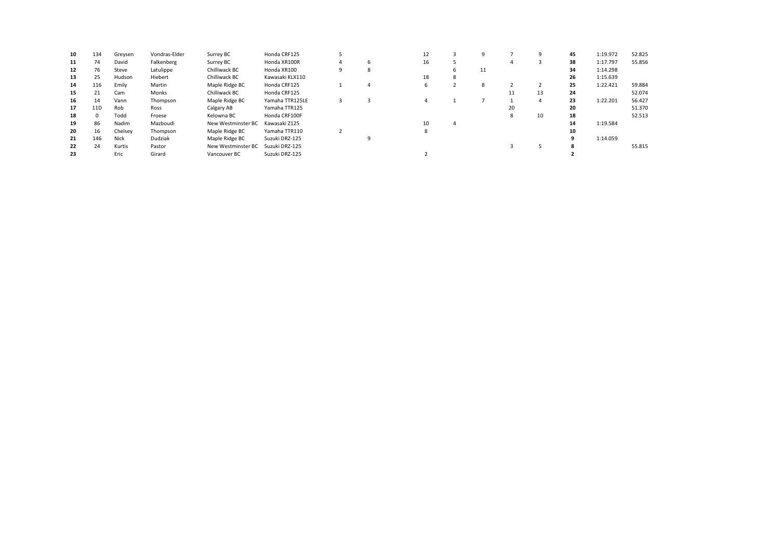| 10 | 134             | Greysen | Vondras-Elder | Surrey BC          | Honda CRF125    |   | 12 |   |    |    | 9  | 45 | 1:19.972 | 52.825 |
|----|-----------------|---------|---------------|--------------------|-----------------|---|----|---|----|----|----|----|----------|--------|
| 11 | 74              | David   | Falkenberg    | Surrey BC          | Honda XR100R    | ь | 16 |   |    | 4  |    | 38 | 1:17.797 | 55.856 |
| 12 | 76              | Steve   | Latulippe     | Chilliwack BC      | Honda XR100     | 8 |    |   | 11 |    |    | 34 | 1:14.298 |        |
| 13 | 25              | Hudson  | Hiebert       | Chilliwack BC      | Kawasaki KLX110 |   | 18 | 8 |    |    |    | 26 | 1:15.639 |        |
| 14 | 116             | Emily   | Martin        | Maple Ridge BC     | Honda CRF125    | 4 |    |   | 8  |    |    | 25 | 1:22.421 | 59.884 |
| 15 | 21              | Cam     | Monks         | Chilliwack BC      | Honda CRF125    |   |    |   |    |    | 13 | 24 |          | 52.074 |
| 16 | 14              | Vann    | Thompson      | Maple Ridge BC     | Yamaha TTR125LE |   |    |   |    |    | 4  | 23 | 1:22.201 | 56.427 |
| 17 | 11 <sub>D</sub> | Rob     | Ross          | Calgary AB         | Yamaha TTR125   |   |    |   |    | 20 |    | 20 |          | 51.370 |
| 18 | $\Omega$        | Todd    | Froese        | Kelowna BC         | Honda CRF100F   |   |    |   |    | 8  | 10 | 18 |          | 52.513 |
| 19 | 86              | Nadim   | Mazboudi      | New Westminster BC | Kawasaki Z125   |   | 10 |   |    |    |    | 14 | 1:19.584 |        |
| 20 | 16              | Chelsey | Thompson      | Maple Ridge BC     | Yamaha TTR110   |   | 8  |   |    |    |    | 10 |          |        |
| 21 | 146             | Nick    | Dudziak       | Maple Ridge BC     | Suzuki DRZ-125  |   |    |   |    |    |    | 9  | 1:14.059 |        |
| 22 | 24              | Kurtis  | Pastor        | New Westminster BC | Suzuki DRZ-125  |   |    |   |    |    |    | 8  |          | 55.815 |
| 23 |                 | Eric    | Girard        | Vancouver BC       | Suzuki DRZ-125  |   |    |   |    |    |    |    |          |        |